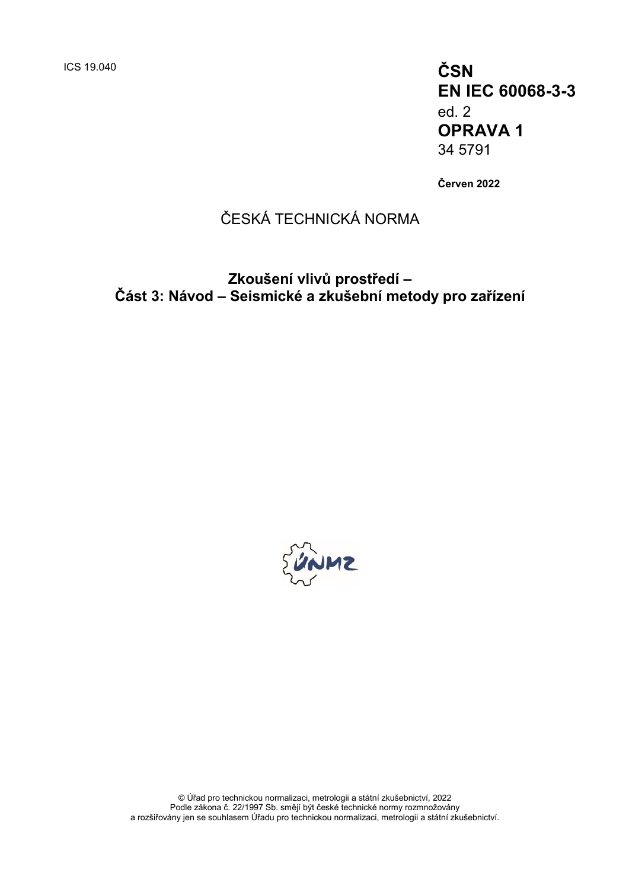ICS 19.040 **ČSN EN IEC 60068-3-3**  ed. 2 **OPRAVA 1** 34 5791

**Červen 2022**

## ČESKÁ TECHNICKÁ NORMA

## **Zkoušení vlivů prostředí – Část 3: Návod – Seismické a zkušební metody pro zařízení**



© Úřad pro technickou normalizaci, metrologii a státní zkušebnictví, 2022 Podle zákona č. 22/1997 Sb. smějí být české technické normy rozmnožovány a rozšiřovány jen se souhlasem Úřadu pro technickou normalizaci, metrologii a státní zkušebnictví.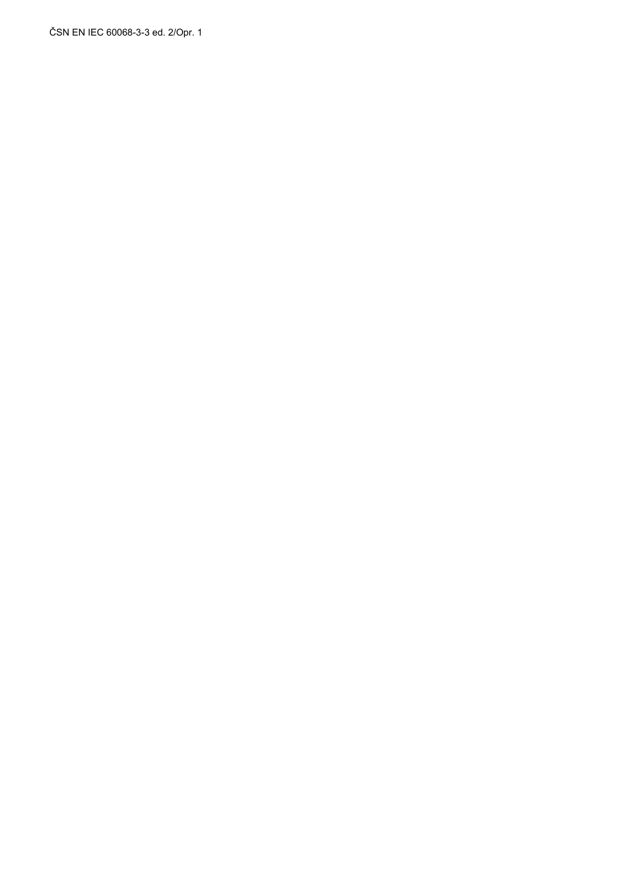ČSN EN IEC 60068-3-3 ed. 2/Opr. 1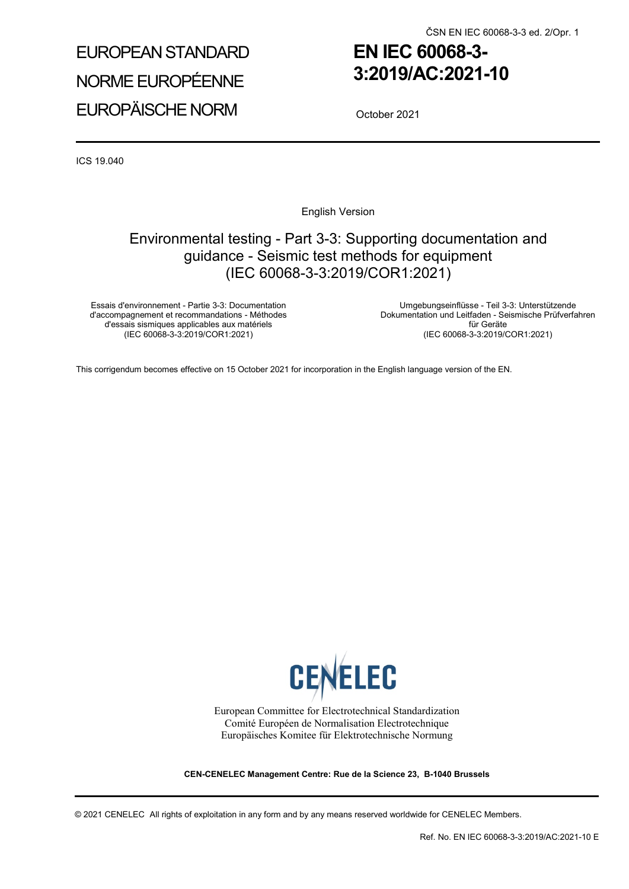# EUROPEAN STANDARD NORME EUROPÉENNE EUROPÄISCHE NORM

# **EN IEC 60068-3- 3:2019/AC:2021-10**

October 2021

ICS 19.040

English Version

## Environmental testing - Part 3-3: Supporting documentation and guidance - Seismic test methods for equipment (IEC 60068-3-3:2019/COR1:2021)

Essais d'environnement - Partie 3-3: Documentation d'accompagnement et recommandations - Méthodes d'essais sismiques applicables aux matériels (IEC 60068-3-3:2019/COR1:2021)

 Umgebungseinflüsse - Teil 3-3: Unterstützende Dokumentation und Leitfaden - Seismische Prüfverfahren für Geräte (IEC 60068-3-3:2019/COR1:2021)

This corrigendum becomes effective on 15 October 2021 for incorporation in the English language version of the EN.



European Committee for Electrotechnical Standardization Comité Européen de Normalisation Electrotechnique Europäisches Komitee für Elektrotechnische Normung

**CEN-CENELEC Management Centre: Rue de la Science 23, B-1040 Brussels** 

© 2021 CENELEC All rights of exploitation in any form and by any means reserved worldwide for CENELEC Members.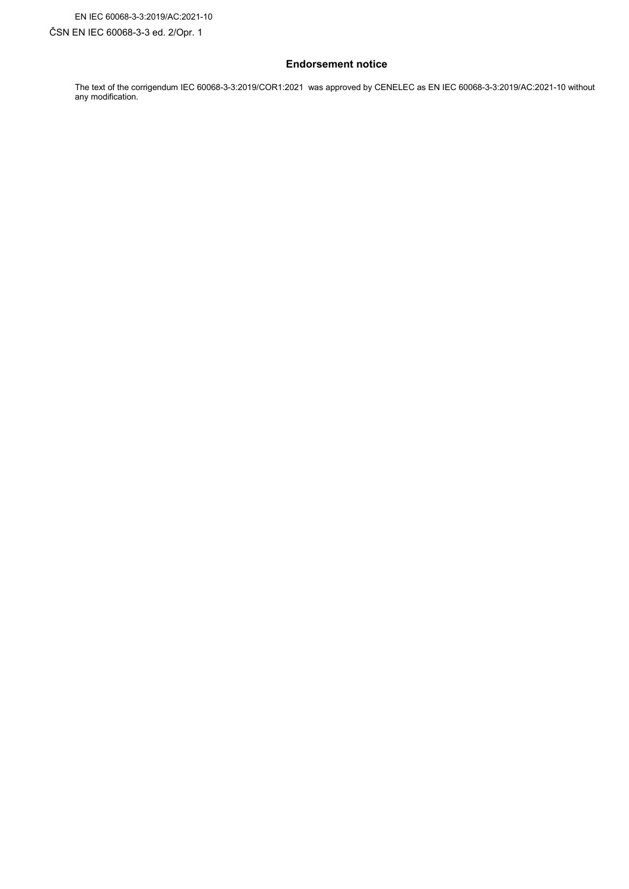EN IEC 60068-3-3:2019/AC:2021-10

ČSN EN IEC 60068-3-3 ed. 2/Opr. 1

### **Endorsement notice**

The text of the corrigendum IEC 60068-3-3:2019/COR1:2021 was approved by CENELEC as EN IEC 60068-3-3:2019/AC:2021-10 without any modification.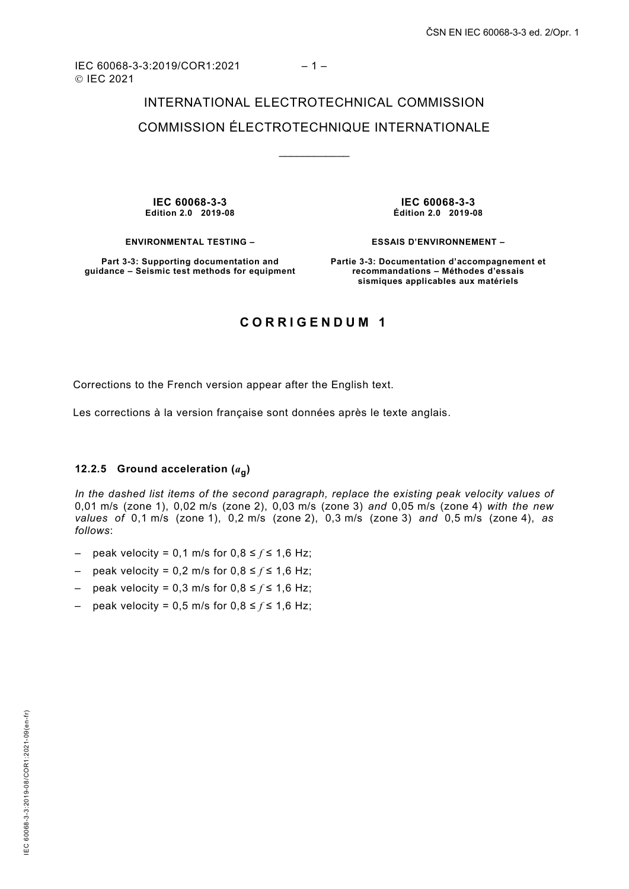$IEC 60068-3-3:2019/COR1:2021$  - 1 – © IEC 2021

# INTERNATIONAL ELECTROTECHNICAL COMMISSION COMMISSION ÉLECTROTECHNIQUE INTERNATIONALE

\_\_\_\_\_\_\_\_\_\_\_\_

**IEC 60068-3-3 Edition 2.0 2019-08**

**IEC 60068-3-3 Édition 2.0 2019-08**

**ENVIRONMENTAL TESTING –** 

**ESSAIS D'ENVIRONNEMENT –** 

**Part 3-3: Supporting documentation and guidance – Seismic test methods for equipment** **Partie 3-3: Documentation d'accompagnement et recommandations – Méthodes d'essais sismiques applicables aux matériels**

### **CORRIGENDUM 1**

Corrections to the French version appear after the English text.

Les corrections à la version française sont données après le texte anglais.

#### **12.2.5 Ground acceleration**  $(a_{\alpha})$

*In the dashed list items of the second paragraph, replace the existing peak velocity values of*  0,01 m/s (zone 1), 0,02 m/s (zone 2), 0,03 m/s (zone 3) *and* 0,05 m/s (zone 4) *with the new values of* 0,1 m/s (zone 1), 0,2 m/s (zone 2), 0,3 m/s (zone 3) *and* 0,5 m/s (zone 4), *as follows*:

- peak velocity = 0,1 m/s for 0,8 ≤ *f* ≤ 1,6 Hz;
- peak velocity = 0,2 m/s for 0,8 ≤ *f* ≤ 1,6 Hz;
- peak velocity = 0,3 m/s for  $0,8 \le f \le 1,6$  Hz;
- peak velocity = 0,5 m/s for 0,8 ≤ *f* ≤ 1,6 Hz;